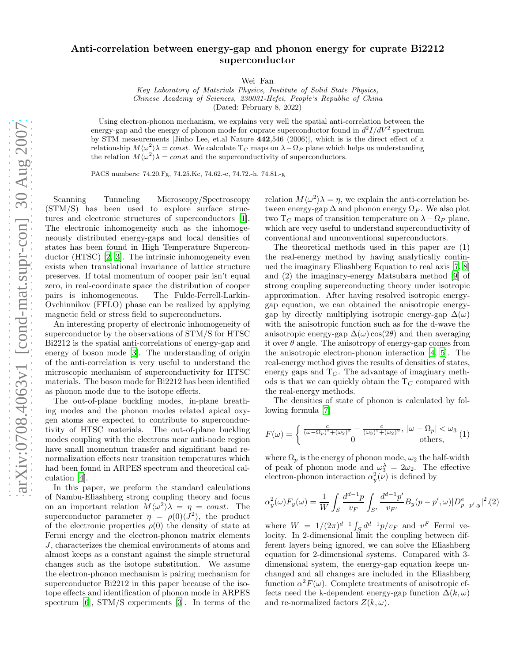## Anti-correlation between energy-gap and phonon energy for cuprate Bi2212 superconductor

Wei Fan

Key Laboratory of Materials Physics, Institute of Solid State Physics, Chinese Academy of Sciences, 230031-Hefei, People's Republic of China (Dated: February 8, 2022)

Using electron-phonon mechanism, we explains very well the spatial anti-correlation between the energy-gap and the energy of phonon mode for cuprate superconductor found in  $d^2I/dV^2$  spectrum by STM measurements [Jinho Lee, et.al Nature 442,546 (2006)], which is is the direct effect of a relationship  $M\langle\omega^2\rangle\lambda = const.$  We calculate  $T_C$  maps on  $\lambda-\Omega_P$  plane which helps us understanding the relation  $M \langle \omega^2 \rangle \lambda = const$  and the superconductivity of superconductors.

PACS numbers: 74.20.Fg, 74.25.Kc, 74.62.-c, 74.72.-h, 74.81.-g

Scanning Tunneling Microscopy/Spectroscopy (STM/S) has been used to explore surface structures and electronic structures of superconductors [\[1\]](#page-3-0). The electronic inhomogeneity such as the inhomogeneously distributed energy-gaps and local densities of states has been found in High Temperature Superconductor (HTSC) [\[2](#page-3-1), [3](#page-3-2)]. The intrinsic inhomogeneity even exists when translational invariance of lattice structure preserves. If total momentum of cooper pair isn't equal zero, in real-coordinate space the distribution of cooper pairs is inhomogeneous. The Fulde-Ferrell-Larkin-Ovchinnikov (FFLO) phase can be realized by applying magnetic field or stress field to superconductors.

An interesting property of electronic inhomogeneity of superconductor by the observations of STM/S for HTSC Bi2212 is the spatial anti-correlations of energy-gap and energy of boson mode [\[3\]](#page-3-2). The understanding of origin of the anti-correlation is very useful to understand the microscopic mechanism of superconductivity for HTSC materials. The boson mode for Bi2212 has been identified as phonon mode due to the isotope effects.

The out-of-plane buckling modes, in-plane breathing modes and the phonon modes related apical oxygen atoms are expected to contribute to superconductivity of HTSC materials. The out-of-plane buckling modes coupling with the electrons near anti-node region have small momentum transfer and significant band renormalization effects near transition temperatures which had been found in ARPES spectrum and theoretical calculation [\[4\]](#page-3-3).

In this paper, we preform the standard calculations of Nambu-Eliashberg strong coupling theory and focus on an important relation  $M \langle \omega^2 \rangle \lambda = \eta = const.$  The superconductor parameter  $\eta = \rho(0) \langle J^2 \rangle$ , the product of the electronic properties  $\rho(0)$  the density of state at Fermi energy and the electron-phonon matrix elements J, characterizes the chemical environments of atoms and almost keeps as a constant against the simple structural changes such as the isotope substitution. We assume the electron-phonon mechanism is pairing mechanism for superconductor Bi2212 in this paper because of the isotope effects and identification of phonon mode in ARPES spectrum [\[6](#page-3-4)], STM/S experiments [\[3\]](#page-3-2). In terms of the

relation  $M \langle \omega^2 \rangle \lambda = \eta$ , we explain the anti-correlation between energy-gap  $\Delta$  and phonon energy  $\Omega_P$ . We also plot two  $T_C$  maps of transition temperature on  $\lambda-\Omega_P$  plane, which are very useful to understand superconductivity of conventional and unconventional superconductors.

The theoretical methods used in this paper are (1) the real-energy method by having analytically continued the imaginary Eliashberg Equation to real axis [\[7,](#page-3-5) [8](#page-3-6)] and (2) the imaginary-energy Matsubara method [\[9](#page-3-7)] of strong coupling superconducting theory under isotropic approximation. After having resolved isotropic energygap equation, we can obtained the anisotropic energygap by directly multiplying isotropic energy-gap  $\Delta(\omega)$ with the anisotropic function such as for the d-wave the anisotropic energy-gap  $\Delta(\omega)$  cos(2θ) and then averaging it over  $\theta$  angle. The anisotropy of energy-gap comes from the anisotropic electron-phonon interaction [\[4,](#page-3-3) [5](#page-3-8)]. The real-energy method gives the results of densities of states, energy gaps and  $T<sub>C</sub>$ . The advantage of imaginary methods is that we can quickly obtain the  $T_C$  compared with the real-energy methods.

The densities of state of phonon is calculated by following formula [\[7\]](#page-3-5)

<span id="page-0-0"></span>
$$
F(\omega) = \begin{cases} \frac{c}{(\omega - \Omega_p)^2 + (\omega_2)^2} - \frac{c}{(\omega_3)^2 + (\omega_2)^2}, & |\omega - \Omega_p| < \omega_3 \\ 0 & \text{others}, \end{cases} (1)
$$

where  $\Omega_p$  is the energy of phonon mode,  $\omega_2$  the half-width of peak of phonon mode and  $\omega_3^{\lambda} = 2\omega_2$ . The effective electron-phonon interaction  $\alpha_y^2(\nu)$  is defined by

$$
\alpha_y^2(\omega) F_y(\omega) = \frac{1}{W} \int_S \frac{d^{d-1}p}{v_F} \int_{S'} \frac{d^{d-1}p'}{v_{F'}} B_y(p - p', \omega) |D^e_{p - p', y}|^2.(2)
$$

where  $W = 1/(2\pi)^{d-1} \int_S d^{d-1}p/v_F$  and  $v^F$  Fermi velocity. In 2-dimensional limit the coupling between different layers being ignored, we can solve the Eliashberg equation for 2-dimensional systems. Compared with 3 dimensional system, the energy-gap equation keeps unchanged and all changes are included in the Eliashberg function  $\alpha^2 F(\omega)$ . Complete treatments of anisotropic effects need the k-dependent energy-gap function  $\Delta(k,\omega)$ and re-normalized factors  $Z(k, \omega)$ .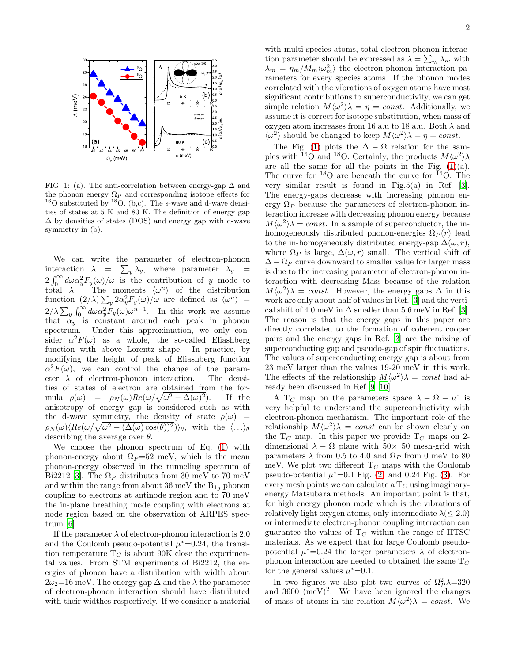

<span id="page-1-0"></span>FIG. 1: (a). The anti-correlation between energy-gap  $\Delta$  and the phonon energy  $\Omega_P$  and corresponding isotope effects for  $16$ O substituted by  $18$ O. (b,c). The s-wave and d-wave densities of states at 5 K and 80 K. The definition of energy gap  $\Delta$  by densities of states (DOS) and energy gap with d-wave symmetry in (b).

We can write the parameter of electron-phonon interaction  $\lambda = \sum_{y} \lambda_y$ , where parameter  $\lambda_y =$  $2\int_0^\infty d\omega \alpha_y^2 F_y(\omega)/\omega$  is the contribution of y mode to total  $\lambda$ . The moments  $\langle \omega^n \rangle$  of the distribution function  $(2/\lambda)\sum_{y} 2\alpha_y^2 F_y(\omega)/\omega$  are defined as  $\langle \omega^n \rangle =$  $2/\lambda \sum_{y} \int_{0}^{\infty} d\omega \alpha_{y}^{2} F_{y}(\omega) \omega^{n-1}$ . In this work we assume that  $\alpha_y$  is constant around each peak in phonon spectrum. Under this approximation, we only consider  $\alpha^2 F(\omega)$  as a whole, the so-called Eliashberg function with above Lorentz shape. In practice, by modifying the height of peak of Eliashberg function  $\alpha^2 F(\omega)$ , we can control the change of the parameter  $\lambda$  of electron-phonon interaction. The densities of states of electron are obtained from the formula  $\rho(\omega) = \rho_N(\omega) Re(\omega/\sqrt{\omega^2 - \Delta(\omega)})$ <sup>2</sup>). If the anisotropy of energy gap is considered such as with the d-wave symmetry, the density of state  $\rho(\omega)$  =  $\rho_N(\omega) \langle Re(\omega/\sqrt{\omega^2-(\Delta(\omega)\cos(\theta))^2})\rangle_\theta$ , with the  $\langle \ldots \rangle_\theta$ describing the average over  $\theta$ .

We choose the phonon spectrum of Eq. [\(1\)](#page-0-0) with phonon-energy about  $\Omega_P = 52$  meV, which is the mean phonon-energy observed in the tunneling spectrum of Bi2212 [\[3\]](#page-3-2). The  $\Omega_P$  distributes from 30 meV to 70 meV and within the range from about 36 meV the  $B_{1q}$  phonon coupling to electrons at antinode region and to 70 meV the in-plane breathing mode coupling with electrons at node region based on the observation of ARPES spectrum [\[6\]](#page-3-4).

If the parameter  $\lambda$  of electron-phonon interaction is 2.0 and the Coulomb pseudo-potential  $\mu^*$ =0.24, the transition temperature  $T_C$  is about 90K close the experimental values. From STM experiments of Bi2212, the energies of phonon have a distribution with width about  $2\omega_2=16$  meV. The energy gap  $\Delta$  and the  $\lambda$  the parameter of electron-phonon interaction should have distributed with their widthes respectively. If we consider a material

with multi-species atoms, total electron-phonon interaction parameter should be expressed as  $\lambda = \sum_{m} \lambda_m$  with  $\lambda_m = \eta_m / M_m \langle \omega_m^2 \rangle$  the electron-phonon interaction parameters for every species atoms. If the phonon modes correlated with the vibrations of oxygen atoms have most significant contributions to superconductivity, we can get simple relation  $M \langle \omega^2 \rangle \lambda = \eta = const.$  Additionally, we assume it is correct for isotope substitution, when mass of oxygen atom increases from 16 a.u to 18 a.u. Both  $\lambda$  and  $\langle \omega^2 \rangle$  should be changed to keep  $M \langle \omega^2 \rangle \lambda = \eta = const.$ 

The Fig. [\(1\)](#page-1-0) plots the  $\Delta - \Omega$  relation for the samples with <sup>16</sup>O and <sup>18</sup>O. Certainly, the products  $M \langle \omega^2 \rangle \lambda$ are all the same for all the points in the Fig.  $(1)(a)$ . The curve for  $^{18}$ O are beneath the curve for  $^{16}$ O. The very similar result is found in Fig.5(a) in Ref. [\[3\]](#page-3-2). The energy-gaps decrease with increasing phonon energy  $\Omega_P$  because the parameters of electron-phonon interaction increase with decreasing phonon energy because  $M \langle \omega^2 \rangle \lambda = const.$  In a sample of superconductor, the inhomogeneously distributed phonon-energies  $\Omega_P(r)$  lead to the in-homogeneously distributed energy-gap  $\Delta(\omega, r)$ , where  $\Omega_P$  is large,  $\Delta(\omega, r)$  small. The vertical shift of  $\Delta - \Omega_P$  curve downward to smaller value for larger mass is due to the increasing parameter of electron-phonon interaction with decreasing Mass because of the relation  $M\langle\omega^2\rangle\lambda = const.$  However, the energy gaps  $\Delta$  in this work are only about half of values in Ref. [\[3\]](#page-3-2) and the vertical shift of 4.0 meV in  $\Delta$  smaller than 5.6 meV in Ref. [\[3\]](#page-3-2). The reason is that the energy gaps in this paper are directly correlated to the formation of coherent cooper pairs and the energy gaps in Ref. [\[3](#page-3-2)] are the mixing of superconducting gap and pseudo-gap of spin fluctuations. The values of superconducting energy gap is about from 23 meV larger than the values 19-20 meV in this work. The effects of the relationship  $M \langle \omega^2 \rangle \lambda = const$  had already been discussed in Ref.[\[9](#page-3-7), [10](#page-3-9)].

A T<sub>C</sub> map on the parameters space  $\lambda - \Omega - \mu^*$  is very helpful to understand the superconductivity with electron-phonon mechanism. The important role of the relationship  $M \langle \omega^2 \rangle \lambda = const$  can be shown clearly on the  $T_C$  map. In this paper we provide  $T_C$  maps on 2dimensional  $\lambda - \Omega$  plane with 50× 50 mesh-grid with parameters  $\lambda$  from 0.5 to 4.0 and  $\Omega_P$  from 0 meV to 80 meV. We plot two different  $T_C$  maps with the Coulomb pseudo-potential  $\mu^*$ =0.1 Fig. [\(2\)](#page-2-0) and 0.24 Fig. [\(3\)](#page-2-1). For every mesh points we can calculate a  $T_C$  using imaginaryenergy Matsubara methods. An important point is that, for high energy phonon mode which is the vibrations of relatively light oxygen atoms, only intermediate  $\lambda$  (< 2.0) or intermediate electron-phonon coupling interaction can guarantee the values of  $T_C$  within the range of HTSC materials. As we expect that for large Coulomb pseudopotential  $\mu^*$ =0.24 the larger parameters  $\lambda$  of electronphonon interaction are needed to obtained the same  $T_C$ for the general values  $\mu^*$ =0.1.

In two figures we also plot two curves of  $\Omega_P^2 \lambda = 320$ and  $3600 \, (\text{meV})^2$ . We have been ignored the changes of mass of atoms in the relation  $M \langle \omega^2 \rangle \lambda = const.$  We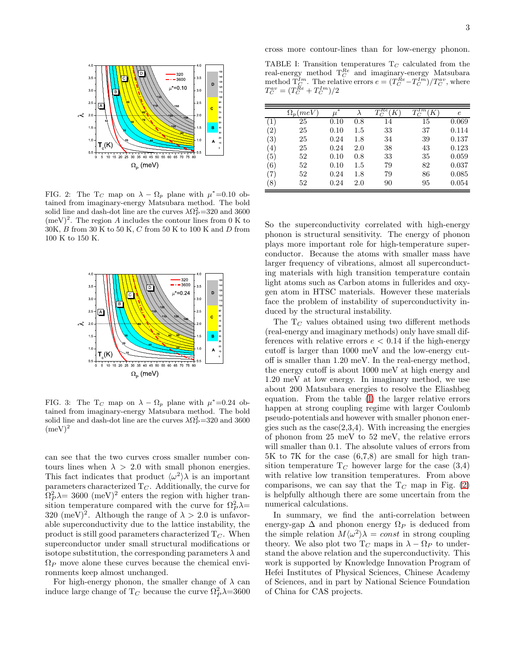

<span id="page-2-0"></span>FIG. 2: The T<sub>C</sub> map on  $\lambda - \Omega_p$  plane with  $\mu^* = 0.10$  obtained from imaginary-energy Matsubara method. The bold solid line and dash-dot line are the curves  $\lambda \Omega_P^2 = 320$  and 3600  $(meV)^2$ . The region A includes the contour lines from 0 K to  $30\mathrm{K},\,B$  from  $30$  K to  $50$  K,  $C$  from  $50$  K to  $100$  K and  $D$  from 100 K to 150 K.



<span id="page-2-1"></span>FIG. 3: The T<sub>C</sub> map on  $\lambda - \Omega_p$  plane with  $\mu^* = 0.24$  obtained from imaginary-energy Matsubara method. The bold solid line and dash-dot line are the curves  $\lambda \Omega_P^2 = 320$  and 3600  $(meV)^2$ 

can see that the two curves cross smaller number contours lines when  $\lambda > 2.0$  with small phonon energies. This fact indicates that product  $\langle \omega^2 \rangle \lambda$  is an important parameters characterized  $T_C$ . Additionally, the curve for  $\Omega_P^2 \lambda = 3600 \text{ (meV)}^2$  enters the region with higher transition temperature compared with the curve for  $\Omega_P^2 \lambda =$ 320 (meV)<sup>2</sup>. Although the range of  $\lambda > 2.0$  is unfavorable superconductivity due to the lattice instability, the product is still good parameters characterized  $T<sub>C</sub>$ . When superconductor under small structural modifications or isotope substitution, the corresponding parameters  $\lambda$  and  $\Omega_P$  move alone these curves because the chemical environments keep almost unchanged.

For high-energy phonon, the smaller change of  $\lambda$  can induce large change of  $T_C$  because the curve  $\Omega_P^2 \lambda = 3600$ 

cross more contour-lines than for low-energy phonon.

<span id="page-2-2"></span>TABLE I: Transition temperatures  $T_C$  calculated from the real-energy method  $T_C^{Re}$  and imaginary-energy Matsubara method  $\overline{\Gamma}_{\mathcal{C}}^{Im}$ . The relative errors  $e = (T_{\mathcal{C}}^{Re} - T_{\mathcal{C}}^{Im})/T_{\mathcal{C}}^{av}$ , where  $T_C^{av} = (T_C^{\bar{R}e} + T_C^{\bar{I}m})/2$ 

|                  | $\Omega_p$ (meV) | $\mu^*$ |         | $_{Re}$ | 1 <sub>m</sub><br>$\tau$ | е     |
|------------------|------------------|---------|---------|---------|--------------------------|-------|
| $\left  \right $ | 25               | 0.10    | 0.8     | 14      | 15                       | 0.069 |
| (2)              | 25               | 0.10    | $1.5\,$ | 33      | 37                       | 0.114 |
| (3)              | 25               | 0.24    | 1.8     | 34      | 39                       | 0.137 |
| (4)              | 25               | 0.24    | 2.0     | 38      | 43                       | 0.123 |
| (5)              | 52               | 0.10    | 0.8     | 33      | 35                       | 0.059 |
| (6)              | 52               | 0.10    | $1.5\,$ | 79      | 82                       | 0.037 |
| (7)              | 52               | 0.24    | 1.8     | 79      | 86                       | 0.085 |
| (8)              | 52               | 0.24    | 2.0     | 90      | 95                       | 0.054 |

So the superconductivity correlated with high-energy phonon is structural sensitivity. The energy of phonon plays more important role for high-temperature superconductor. Because the atoms with smaller mass have larger frequency of vibrations, almost all superconducting materials with high transition temperature contain light atoms such as Carbon atoms in fullerides and oxygen atom in HTSC materials. However these materials face the problem of instability of superconductivity induced by the structural instability.

The  $T_C$  values obtained using two different methods (real-energy and imaginary methods) only have small differences with relative errors  $e < 0.14$  if the high-energy cutoff is larger than 1000 meV and the low-energy cutoff is smaller than 1.20 meV. In the real-energy method, the energy cutoff is about 1000 meV at high energy and 1.20 meV at low energy. In imaginary method, we use about 200 Matsubara energies to resolve the Eliashbeg equation. From the table [\(I\)](#page-2-2) the larger relative errors happen at strong coupling regime with larger Coulomb pseudo-potentials and however with smaller phonon energies such as the  $case(2,3,4)$ . With increasing the energies of phonon from 25 meV to 52 meV, the relative errors will smaller than 0.1. The absolute values of errors from 5K to 7K for the case (6,7,8) are small for high transition temperature  $T_C$  however large for the case  $(3,4)$ with relative low transition temperatures. From above comparisons, we can say that the  $T_C$  map in Fig. [\(2\)](#page-2-0) is helpfully although there are some uncertain from the numerical calculations.

In summary, we find the anti-correlation between energy-gap  $\Delta$  and phonon energy  $\Omega_P$  is deduced from the simple relation  $M \langle \omega^2 \rangle \lambda = const$  in strong coupling theory. We also plot two  $T_C$  maps in  $\lambda - \Omega_P$  to understand the above relation and the superconductivity. This work is supported by Knowledge Innovation Program of Hefei Institutes of Physical Sciences, Chinese Academy of Sciences, and in part by National Science Foundation of China for CAS projects.